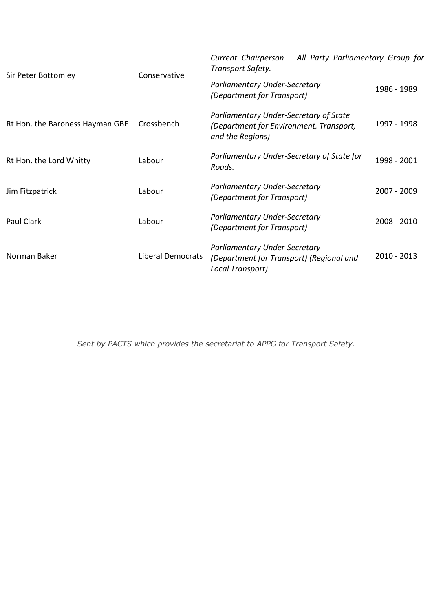| Sir Peter Bottomley             | Conservative      | Current Chairperson - All Party Parliamentary Group for<br>Transport Safety.                          |             |
|---------------------------------|-------------------|-------------------------------------------------------------------------------------------------------|-------------|
|                                 |                   | Parliamentary Under-Secretary<br>(Department for Transport)                                           | 1986 - 1989 |
| Rt Hon. the Baroness Hayman GBE | Crossbench        | Parliamentary Under-Secretary of State<br>(Department for Environment, Transport,<br>and the Regions) | 1997 - 1998 |
| Rt Hon. the Lord Whitty         | Labour            | Parliamentary Under-Secretary of State for<br>Roads.                                                  | 1998 - 2001 |
| Jim Fitzpatrick                 | Labour            | Parliamentary Under-Secretary<br>(Department for Transport)                                           | 2007 - 2009 |
| Paul Clark                      | Labour            | Parliamentary Under-Secretary<br>(Department for Transport)                                           | 2008 - 2010 |
| Norman Baker                    | Liberal Democrats | Parliamentary Under-Secretary<br>(Department for Transport) (Regional and<br>Local Transport)         | 2010 - 2013 |

*Sent by PACTS which provides the secretariat to APPG for Transport Safety.*